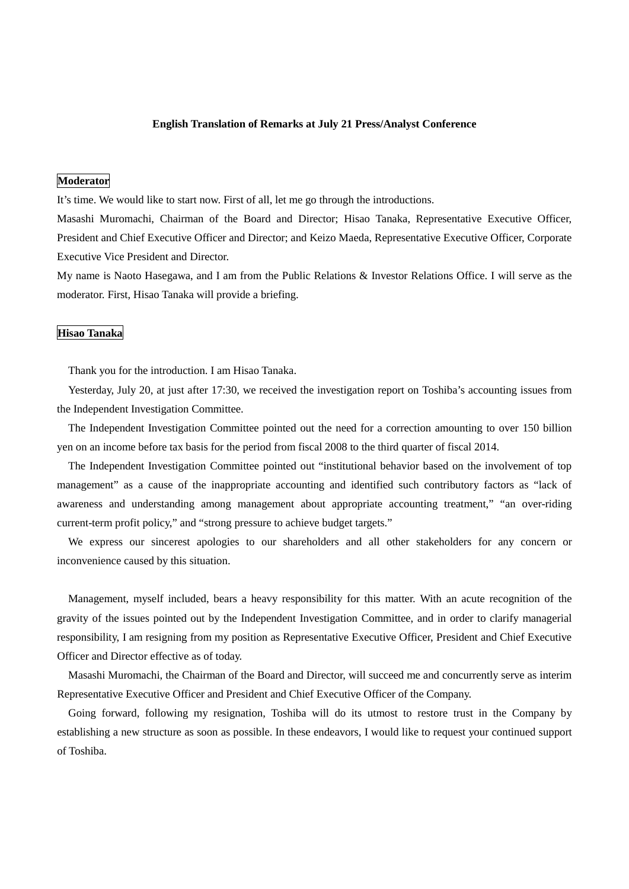### **English Translation of Remarks at July 21 Press/Analyst Conference**

## **Moderator**

It's time. We would like to start now. First of all, let me go through the introductions.

Masashi Muromachi, Chairman of the Board and Director; Hisao Tanaka, Representative Executive Officer, President and Chief Executive Officer and Director; and Keizo Maeda, Representative Executive Officer, Corporate Executive Vice President and Director.

My name is Naoto Hasegawa, and I am from the Public Relations & Investor Relations Office. I will serve as the moderator. First, Hisao Tanaka will provide a briefing.

# **Hisao Tanaka**

Thank you for the introduction. I am Hisao Tanaka.

Yesterday, July 20, at just after 17:30, we received the investigation report on Toshiba's accounting issues from the Independent Investigation Committee.

The Independent Investigation Committee pointed out the need for a correction amounting to over 150 billion yen on an income before tax basis for the period from fiscal 2008 to the third quarter of fiscal 2014.

The Independent Investigation Committee pointed out "institutional behavior based on the involvement of top management" as a cause of the inappropriate accounting and identified such contributory factors as "lack of awareness and understanding among management about appropriate accounting treatment," "an over-riding current-term profit policy," and "strong pressure to achieve budget targets."

We express our sincerest apologies to our shareholders and all other stakeholders for any concern or inconvenience caused by this situation.

Management, myself included, bears a heavy responsibility for this matter. With an acute recognition of the gravity of the issues pointed out by the Independent Investigation Committee, and in order to clarify managerial responsibility, I am resigning from my position as Representative Executive Officer, President and Chief Executive Officer and Director effective as of today.

Masashi Muromachi, the Chairman of the Board and Director, will succeed me and concurrently serve as interim Representative Executive Officer and President and Chief Executive Officer of the Company.

Going forward, following my resignation, Toshiba will do its utmost to restore trust in the Company by establishing a new structure as soon as possible. In these endeavors, I would like to request your continued support of Toshiba.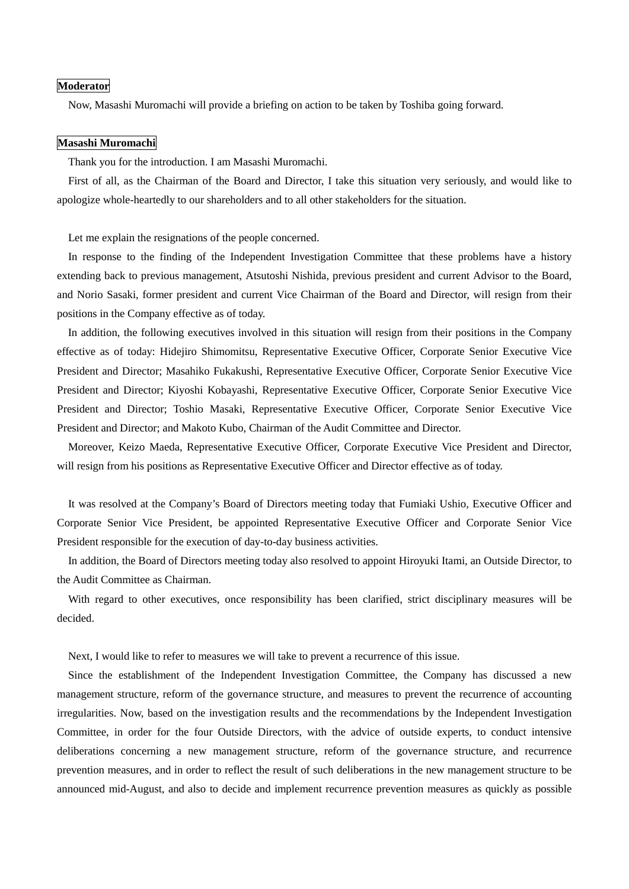### **Moderator**

Now, Masashi Muromachi will provide a briefing on action to be taken by Toshiba going forward.

#### **Masashi Muromachi**

Thank you for the introduction. I am Masashi Muromachi.

First of all, as the Chairman of the Board and Director, I take this situation very seriously, and would like to apologize whole-heartedly to our shareholders and to all other stakeholders for the situation.

Let me explain the resignations of the people concerned.

In response to the finding of the Independent Investigation Committee that these problems have a history extending back to previous management, Atsutoshi Nishida, previous president and current Advisor to the Board, and Norio Sasaki, former president and current Vice Chairman of the Board and Director, will resign from their positions in the Company effective as of today.

In addition, the following executives involved in this situation will resign from their positions in the Company effective as of today: Hidejiro Shimomitsu, Representative Executive Officer, Corporate Senior Executive Vice President and Director; Masahiko Fukakushi, Representative Executive Officer, Corporate Senior Executive Vice President and Director; Kiyoshi Kobayashi, Representative Executive Officer, Corporate Senior Executive Vice President and Director; Toshio Masaki, Representative Executive Officer, Corporate Senior Executive Vice President and Director; and Makoto Kubo, Chairman of the Audit Committee and Director.

Moreover, Keizo Maeda, Representative Executive Officer, Corporate Executive Vice President and Director, will resign from his positions as Representative Executive Officer and Director effective as of today.

It was resolved at the Company's Board of Directors meeting today that Fumiaki Ushio, Executive Officer and Corporate Senior Vice President, be appointed Representative Executive Officer and Corporate Senior Vice President responsible for the execution of day-to-day business activities.

In addition, the Board of Directors meeting today also resolved to appoint Hiroyuki Itami, an Outside Director, to the Audit Committee as Chairman.

With regard to other executives, once responsibility has been clarified, strict disciplinary measures will be decided.

Next, I would like to refer to measures we will take to prevent a recurrence of this issue.

Since the establishment of the Independent Investigation Committee, the Company has discussed a new management structure, reform of the governance structure, and measures to prevent the recurrence of accounting irregularities. Now, based on the investigation results and the recommendations by the Independent Investigation Committee, in order for the four Outside Directors, with the advice of outside experts, to conduct intensive deliberations concerning a new management structure, reform of the governance structure, and recurrence prevention measures, and in order to reflect the result of such deliberations in the new management structure to be announced mid-August, and also to decide and implement recurrence prevention measures as quickly as possible